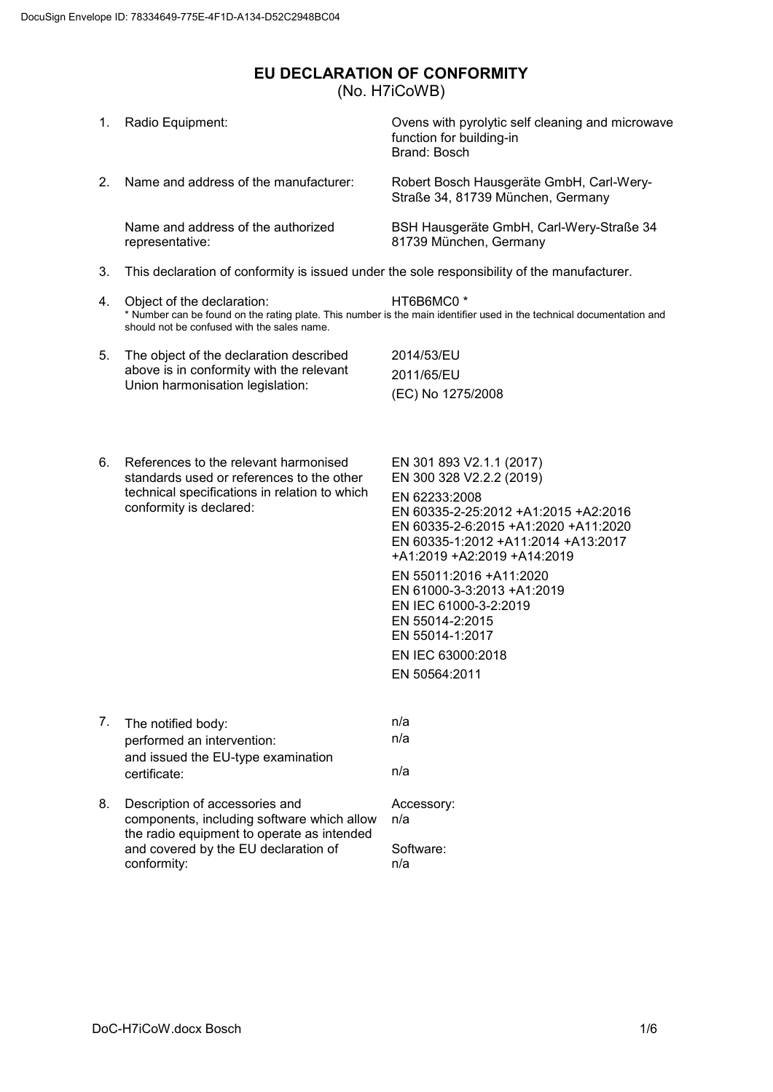## <span id="page-0-0"></span>**EU DECLARATION OF CONFORMITY** (No. H7iCoWB)

| 1. | Radio Equipment:                                                                                                                                                                  | Ovens with pyrolytic self cleaning and microwave<br>function for building-in<br>Brand: Bosch                                                                                                                                                                                                                                                                                              |  |  |  |
|----|-----------------------------------------------------------------------------------------------------------------------------------------------------------------------------------|-------------------------------------------------------------------------------------------------------------------------------------------------------------------------------------------------------------------------------------------------------------------------------------------------------------------------------------------------------------------------------------------|--|--|--|
| 2. | Name and address of the manufacturer:                                                                                                                                             | Robert Bosch Hausgeräte GmbH, Carl-Wery-<br>Straße 34, 81739 München, Germany                                                                                                                                                                                                                                                                                                             |  |  |  |
|    | Name and address of the authorized<br>representative:                                                                                                                             | BSH Hausgeräte GmbH, Carl-Wery-Straße 34<br>81739 München, Germany                                                                                                                                                                                                                                                                                                                        |  |  |  |
| 3. | This declaration of conformity is issued under the sole responsibility of the manufacturer.                                                                                       |                                                                                                                                                                                                                                                                                                                                                                                           |  |  |  |
| 4. | Object of the declaration:<br>should not be confused with the sales name.                                                                                                         | HT6B6MC0 <sup>*</sup><br>* Number can be found on the rating plate. This number is the main identifier used in the technical documentation and                                                                                                                                                                                                                                            |  |  |  |
| 5. | The object of the declaration described<br>above is in conformity with the relevant<br>Union harmonisation legislation:                                                           | 2014/53/EU<br>2011/65/EU<br>(EC) No 1275/2008                                                                                                                                                                                                                                                                                                                                             |  |  |  |
| 6. | References to the relevant harmonised<br>standards used or references to the other<br>technical specifications in relation to which<br>conformity is declared:                    | EN 301 893 V2.1.1 (2017)<br>EN 300 328 V2.2.2 (2019)<br>EN 62233:2008<br>EN 60335-2-25:2012 +A1:2015 +A2:2016<br>EN 60335-2-6:2015 +A1:2020 +A11:2020<br>EN 60335-1:2012 +A11:2014 +A13:2017<br>+A1:2019 +A2:2019 +A14:2019<br>EN 55011:2016 +A11:2020<br>EN 61000-3-3:2013 +A1:2019<br>EN IEC 61000-3-2:2019<br>EN 55014-2:2015<br>EN 55014-1:2017<br>EN IEC 63000:2018<br>EN 50564:2011 |  |  |  |
| 7. | The notified body:<br>performed an intervention:<br>and issued the EU-type examination<br>certificate:                                                                            | n/a<br>n/a<br>n/a                                                                                                                                                                                                                                                                                                                                                                         |  |  |  |
| 8. | Description of accessories and<br>components, including software which allow<br>the radio equipment to operate as intended<br>and covered by the EU declaration of<br>conformity: | Accessory:<br>n/a<br>Software:<br>n/a                                                                                                                                                                                                                                                                                                                                                     |  |  |  |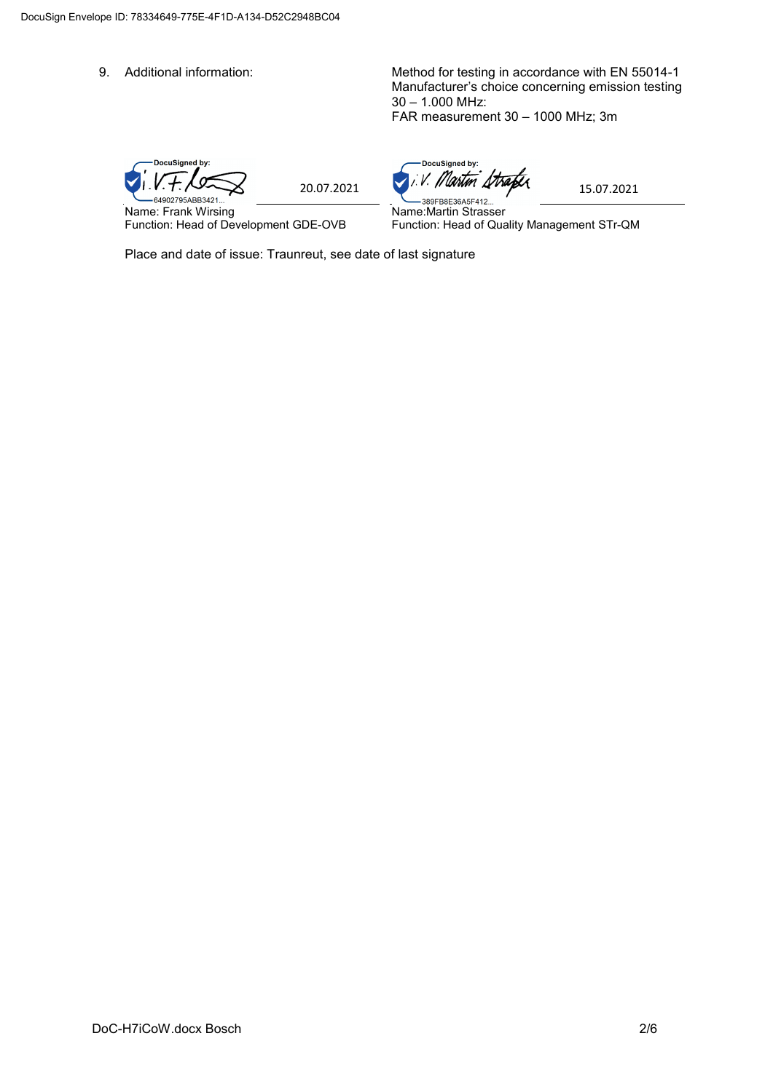9. Additional information: Method for testing in accordance with EN 55014-1 Manufacturer's choice concerning emission testing 30 – 1.000 MHz: FAR measurement 30 – 1000 MHz; 3m

DocuSigned by:  $1.1.7.7$ 

Name: Frank Wirsing Function: Head of Development GDE-OVB

DocuSigned by:

Name:Martin Strasser Function: Head of Quality Management STr-QM

Place and date of issue: Traunreut, see date of last signature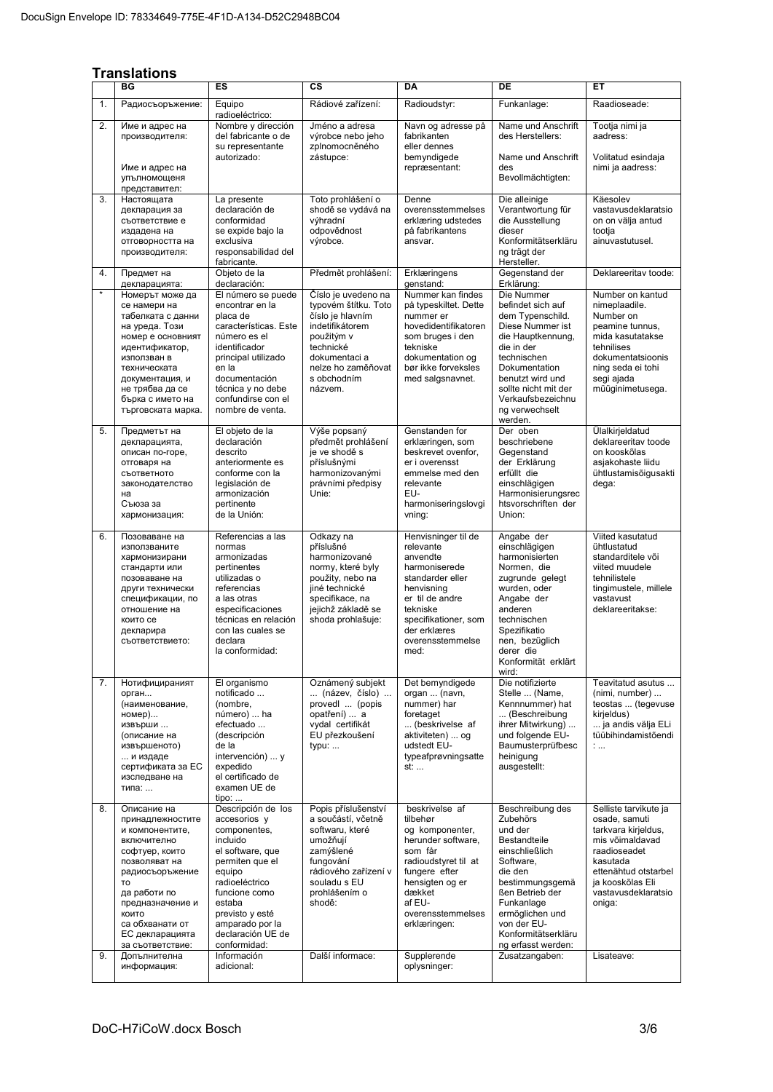## **Translations**

|          | ES<br>СS<br><b>DA</b><br>DE<br>ВG<br>EТ                                                                                                                                                                                                              |                                                                                                                                                                                                                                                        |                                                                                                                                                                                           |                                                                                                                                                                                                                    |                                                                                                                                                                                                                                                        |                                                                                                                                                                                                         |
|----------|------------------------------------------------------------------------------------------------------------------------------------------------------------------------------------------------------------------------------------------------------|--------------------------------------------------------------------------------------------------------------------------------------------------------------------------------------------------------------------------------------------------------|-------------------------------------------------------------------------------------------------------------------------------------------------------------------------------------------|--------------------------------------------------------------------------------------------------------------------------------------------------------------------------------------------------------------------|--------------------------------------------------------------------------------------------------------------------------------------------------------------------------------------------------------------------------------------------------------|---------------------------------------------------------------------------------------------------------------------------------------------------------------------------------------------------------|
|          |                                                                                                                                                                                                                                                      |                                                                                                                                                                                                                                                        |                                                                                                                                                                                           |                                                                                                                                                                                                                    |                                                                                                                                                                                                                                                        |                                                                                                                                                                                                         |
| 1.       | Радиосъоръжение:                                                                                                                                                                                                                                     | Rádiové zařízení:<br>Equipo<br>radioeléctrico:                                                                                                                                                                                                         |                                                                                                                                                                                           | Radioudstyr:                                                                                                                                                                                                       | Funkanlage:                                                                                                                                                                                                                                            | Raadioseade:                                                                                                                                                                                            |
| 2.       | Име и адрес на<br>производителя:<br>Име и адрес на                                                                                                                                                                                                   | Nombre y dirección<br>del fabricante o de<br>su representante<br>autorizado:                                                                                                                                                                           | Jméno a adresa<br>výrobce nebo jeho<br>zplnomocněného<br>zástupce:                                                                                                                        | Navn og adresse på<br>fabrikanten<br>eller dennes<br>bemyndigede<br>repræsentant:                                                                                                                                  | Name und Anschrift<br>des Herstellers:<br>Name und Anschrift<br>des                                                                                                                                                                                    | Tootja nimi ja<br>aadress:<br>Volitatud esindaja<br>nimi ja aadress:                                                                                                                                    |
|          | упълномощеня<br>представител:                                                                                                                                                                                                                        |                                                                                                                                                                                                                                                        |                                                                                                                                                                                           |                                                                                                                                                                                                                    | Bevollmächtigten:                                                                                                                                                                                                                                      |                                                                                                                                                                                                         |
| 3.       | Настоящата<br>декларация за<br>съответствие е<br>издадена на<br>отговорността на<br>производителя:                                                                                                                                                   | La presente<br>declaración de<br>conformidad<br>se expide bajo la<br>exclusiva<br>responsabilidad del<br>fabricante.                                                                                                                                   | Toto prohlášení o<br>shodě se vydává na<br>výhradní<br>odpovědnost<br>výrobce.                                                                                                            | Denne<br>overensstemmelses<br>erklæring udstedes<br>på fabrikantens<br>ansvar.                                                                                                                                     | Die alleinige<br>Verantwortung für<br>die Ausstellung<br>dieser<br>Konformitätserkläru<br>ng trägt der<br>Hersteller.                                                                                                                                  | Käesolev<br>vastavusdeklaratsio<br>on on välja antud<br>tootja<br>ainuvastutusel.                                                                                                                       |
| 4.       | Предмет на<br>декларацията:                                                                                                                                                                                                                          | Objeto de la<br>declaración:                                                                                                                                                                                                                           | Předmět prohlášení:                                                                                                                                                                       | Erklæringens<br>qenstand:                                                                                                                                                                                          | Gegenstand der<br>Erklärung:                                                                                                                                                                                                                           | Deklareeritav toode:                                                                                                                                                                                    |
| $\star$  | Номерът може да<br>се намери на<br>табелката с данни<br>на уреда. Този<br>номер е основният<br>идентификатор,<br>използван в<br>техническата<br>документация, и<br>не трябва да се<br>бърка с името на<br>търговската марка.                         | El número se puede<br>encontrar en la<br>placa de<br>características. Este<br>número es el<br>identificador<br>principal utilizado<br>en la<br>documentación<br>técnica y no debe<br>confundirse con el<br>nombre de venta.                            | Číslo je uvedeno na<br>typovém štítku. Toto<br>číslo je hlavním<br>indetifikátorem<br>použitým v<br>technické<br>dokumentaci a<br>nelze ho zaměňovat<br>s obchodním<br>názvem.            | Nummer kan findes<br>på typeskiltet. Dette<br>nummer er<br>hovedidentifikatoren<br>som bruges i den<br>tekniske<br>dokumentation og<br>bør ikke forveksles<br>med salgsnavnet.                                     | Die Nummer<br>befindet sich auf<br>dem Typenschild.<br>Diese Nummer ist<br>die Hauptkennung,<br>die in der<br>technischen<br>Dokumentation<br>benutzt wird und<br>sollte nicht mit der<br>Verkaufsbezeichnu<br>ng verwechselt<br>werden.               | Number on kantud<br>nimeplaadile.<br>Number on<br>peamine tunnus,<br>mida kasutatakse<br>tehnilises<br>dokumentatsioonis<br>ning seda ei tohi<br>segi ajada<br>müüqinimetusega.                         |
| 5.       | Предметът на<br>декларацията,<br>описан по-горе,<br>отговаря на<br>съответното<br>законодателство<br>на<br>Съюза за<br>хармонизация:                                                                                                                 | El objeto de la<br>declaración<br>descrito<br>anteriormente es<br>conforme con la<br>legislación de<br>armonización<br>pertinente<br>de la Unión:                                                                                                      | Výše popsaný<br>předmět prohlášení<br>je ve shodě s<br>příslušnými<br>harmonizovanými<br>právními předpisy<br>Unie:                                                                       | Genstanden for<br>erklæringen, som<br>beskrevet ovenfor,<br>er i overensst<br>emmelse med den<br>relevante<br>EU-<br>harmoniseringslovgi<br>vning:                                                                 | Der oben<br>beschriebene<br>Gegenstand<br>der Erklärung<br>erfüllt die<br>einschlägigen<br>Harmonisierungsrec<br>htsvorschriften der<br>Union:                                                                                                         | Ülalkirjeldatud<br>deklareeritav toode<br>on kooskõlas<br>asjakohaste liidu<br>ühtlustamisõigusakti<br>dega:                                                                                            |
| 6.       | Позоваване на<br>използваните<br>хармонизирани<br>стандарти или<br>позоваване на<br>други технически<br>спецификации, по<br>отношение на<br>които се<br>декларира<br>съответствието:                                                                 | Referencias a las<br>normas<br>armonizadas<br>pertinentes<br>utilizadas o<br>referencias<br>a las otras<br>especificaciones<br>técnicas en relación<br>con las cuales se<br>declara<br>la conformidad:                                                 | Odkazy na<br>příslušné<br>harmonizované<br>normy, které byly<br>použity, nebo na<br>jiné technické<br>specifikace, na<br>jejichž základě se<br>shoda prohlašuje:                          | Henvisninger til de<br>relevante<br>anvendte<br>harmoniserede<br>standarder eller<br>henvisning<br>er til de andre<br>tekniske<br>specifikationer, som<br>der erklæres<br>overensstemmelse<br>med:                 | Angabe der<br>einschlägigen<br>harmonisierten<br>Normen, die<br>zugrunde gelegt<br>wurden, oder<br>Angabe der<br>anderen<br>technischen<br>Spezifikatio<br>nen, bezüglich<br>derer die<br>Konformität erklärt<br>wird:                                 | Viited kasutatud<br>ühtlustatud<br>standarditele või<br>viited muudele<br>tehnilistele<br>tingimustele, millele<br>vastavust<br>deklareeritakse:                                                        |
| 7.       | Нотифицираният<br>орган<br>(наименование,<br>номер)<br>извърши<br>(описание на<br>извършеното)<br>и издаде<br>сертификата за ЕС<br>изследване на<br>типа:                                                                                            | El organismo<br>notificado<br>(nombre,<br>número)  ha<br>efectuado<br>(descripción<br>de la<br>intervención)  y<br>expedido<br>el certificado de<br>examen UE de<br>$tipo: $                                                                           | Oznámený subjekt<br>(název, číslo)<br>provedl  (popis<br>opatření)  a<br>vydal certifikát<br>EU přezkoušení<br>typu:                                                                      | Det bemyndigede<br>organ  (navn,<br>nummer) har<br>foretaget<br>(beskrivelse af<br>aktiviteten)  og<br>udstedt EU-<br>typeafprøvningsatte<br>st:                                                                   | Die notifizierte<br>Stelle  (Name,<br>Kennnummer) hat<br>(Beschreibung<br>ihrer Mitwirkung)<br>und folgende EU-<br>Baumusterprüfbesc<br>heinigung<br>ausgestellt:                                                                                      | Teavitatud asutus<br>(nimi, number)<br>teostas  (tegevuse<br>kirjeldus)<br>ja andis välja ELi<br>tüübihindamistõendi<br>1.11                                                                            |
| 8.<br>9. | Описание на<br>принадлежностите<br>и компонентите,<br>включително<br>софтуер, които<br>позволяват на<br>радиосъоръжение<br>TO<br>да работи по<br>предназначение и<br>КОИТО<br>са обхванати от<br>ЕС декларацията<br>за съответствие:<br>Допълнителна | Descripción de los<br>accesorios y<br>componentes,<br>incluido<br>el software, que<br>permiten que el<br>equipo<br>radioeléctrico<br>funcione como<br>estaba<br>previsto y esté<br>amparado por la<br>declaración UE de<br>conformidad:<br>Información | Popis příslušenství<br>a součástí, včetně<br>softwaru, které<br>umožňují<br>zamýšlené<br>fungování<br>rádiového zařízení v<br>souladu s EU<br>prohlášením o<br>shodě:<br>Další informace: | beskrivelse af<br>tilbehør<br>og komponenter,<br>herunder software,<br>som får<br>radioudstyret til at<br>fungere efter<br>hensigten og er<br>dækket<br>af EU-<br>overensstemmelses<br>erklæringen:<br>Supplerende | Beschreibung des<br>Zubehörs<br>und der<br>Bestandteile<br>einschließlich<br>Software,<br>die den<br>bestimmungsgemä<br>ßen Betrieb der<br>Funkanlage<br>ermöglichen und<br>von der EU-<br>Konformitätserkläru<br>ng erfasst werden:<br>Zusatzangaben: | Selliste tarvikute ja<br>osade, samuti<br>tarkvara kirjeldus,<br>mis võimaldavad<br>raadioseadet<br>kasutada<br>ettenähtud otstarbel<br>ja kooskõlas Eli<br>vastavusdeklaratsio<br>oniga:<br>Lisateave: |
|          | информация:                                                                                                                                                                                                                                          | adicional:                                                                                                                                                                                                                                             |                                                                                                                                                                                           | oplysninger:                                                                                                                                                                                                       |                                                                                                                                                                                                                                                        |                                                                                                                                                                                                         |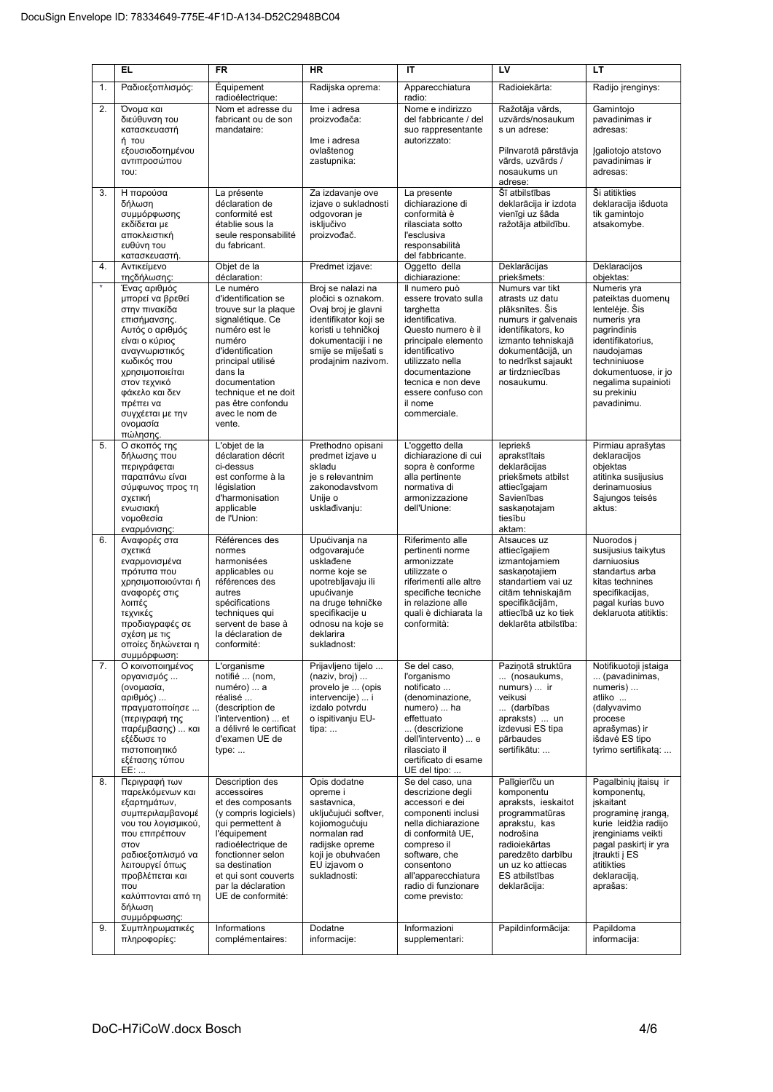|              | EL                                                                                                                                                                                                                                                    | <b>FR</b>                                                                                                                                                                                                                                             | <b>HR</b>                                                                                                                                                                                | IT                                                                                                                                                                                                                                                | LV                                                                                                                                                                                                     | LT                                                                                                                                                                                                              |
|--------------|-------------------------------------------------------------------------------------------------------------------------------------------------------------------------------------------------------------------------------------------------------|-------------------------------------------------------------------------------------------------------------------------------------------------------------------------------------------------------------------------------------------------------|------------------------------------------------------------------------------------------------------------------------------------------------------------------------------------------|---------------------------------------------------------------------------------------------------------------------------------------------------------------------------------------------------------------------------------------------------|--------------------------------------------------------------------------------------------------------------------------------------------------------------------------------------------------------|-----------------------------------------------------------------------------------------------------------------------------------------------------------------------------------------------------------------|
| 1.           | Ραδιοεξοπλισμός:                                                                                                                                                                                                                                      | Équipement<br>radioélectrique:                                                                                                                                                                                                                        | Radijska oprema:                                                                                                                                                                         | Apparecchiatura<br>radio:                                                                                                                                                                                                                         | Radioiekārta:                                                                                                                                                                                          | Radijo įrenginys:                                                                                                                                                                                               |
| 2.           | Όνομα και<br>διεύθυνση του<br>κατασκευαστή<br>ή του<br>εξουσιοδοτημένου<br>αντιπροσώπου<br>TOU:                                                                                                                                                       | Nom et adresse du<br>fabricant ou de son<br>mandataire:                                                                                                                                                                                               | Ime i adresa<br>proizvođača:<br>Ime i adresa<br>ovlaštenog<br>zastupnika:                                                                                                                | Nome e indirizzo<br>del fabbricante / del<br>suo rappresentante<br>autorizzato:                                                                                                                                                                   | Ražotāja vārds,<br>uzvārds/nosaukum<br>s un adrese:<br>Pilnvarotā pārstāvja<br>vārds, uzvārds /<br>nosaukums un<br>adrese:                                                                             | Gamintojo<br>pavadinimas ir<br>adresas:<br>Igaliotojo atstovo<br>pavadinimas ir<br>adresas:                                                                                                                     |
| 3.           | Η παρούσα<br>δήλωση<br>συμμόρφωσης<br>εκδίδεται με<br>αποκλειστική<br>ευθύνη του<br>κατασκευαστή.                                                                                                                                                     | La présente<br>déclaration de<br>conformité est<br>établie sous la<br>seule responsabilité<br>du fabricant.                                                                                                                                           | Za izdavanje ove<br>izjave o sukladnosti<br>odgovoran je<br>isključivo<br>proizvođač.                                                                                                    | La presente<br>dichiarazione di<br>conformità è<br>rilasciata sotto<br>l'esclusiva<br>responsabilità<br>del fabbricante.                                                                                                                          | Šī atbilstības<br>deklarācija ir izdota<br>vienīgi uz šāda<br>ražotāja atbildību.                                                                                                                      | Ši atitikties<br>deklaracija išduota<br>tik gamintojo<br>atsakomybe.                                                                                                                                            |
| 4.           | Αντικείμενο<br>τηςδήλωσης:                                                                                                                                                                                                                            | Objet de la<br>déclaration:                                                                                                                                                                                                                           | Predmet izjave:                                                                                                                                                                          | Oggetto della<br>dichiarazione:                                                                                                                                                                                                                   | Deklarācijas<br>priekšmets:                                                                                                                                                                            | Deklaracijos<br>objektas:                                                                                                                                                                                       |
| $\pmb{\ast}$ | Ένας αριθμός<br>μπορεί να βρεθεί<br>στην πινακίδα<br>επισήμανσης.<br>Αυτός ο αριθμός<br>είναι ο κύριος<br>αναγνωριστικός<br>κωδικός που<br>χρησιμοποιείται<br>στον τεχνικό<br>φάκελο και δεν<br>πρέπει να<br>συγχέεται με την<br>ονομασία<br>πώλησης. | Le numéro<br>d'identification se<br>trouve sur la plaque<br>signalétique. Ce<br>numéro est le<br>numéro<br>d'identification<br>principal utilisé<br>dans la<br>documentation<br>technique et ne doit<br>pas être confondu<br>avec le nom de<br>vente. | Broj se nalazi na<br>pločici s oznakom.<br>Ovaj broj je glavni<br>identifikator koji se<br>koristi u tehničkoj<br>dokumentaciji i ne<br>smije se miješati s<br>prodajnim nazivom.        | Il numero può<br>essere trovato sulla<br>targhetta<br>identificativa.<br>Questo numero è il<br>principale elemento<br>identificativo<br>utilizzato nella<br>documentazione<br>tecnica e non deve<br>essere confuso con<br>il nome<br>commerciale. | Numurs var tikt<br>atrasts uz datu<br>plāksnītes. Šis<br>numurs ir galvenais<br>identifikators, ko<br>izmanto tehniskajā<br>dokumentācijā, un<br>to nedrīkst sajaukt<br>ar tirdzniecības<br>nosaukumu. | Numeris yra<br>pateiktas duomenų<br>lentelėje. Šis<br>numeris yra<br>pagrindinis<br>identifikatorius,<br>naudojamas<br>techniniuose<br>dokumentuose, ir jo<br>negalima supainioti<br>su prekiniu<br>pavadinimu. |
| 5.           | Ο σκοπός της<br>δήλωσης που<br>περιγράφεται<br>παραπάνω είναι<br>σύμφωνος προς τη<br>σχετική<br>ενωσιακή<br>νομοθεσία<br>εναρμόνισης:                                                                                                                 | L'objet de la<br>déclaration décrit<br>ci-dessus<br>est conforme à la<br>législation<br>d'harmonisation<br>applicable<br>de l'Union:                                                                                                                  | Prethodno opisani<br>predmet izjave u<br>skladu<br>je s relevantnim<br>zakonodavstvom<br>Unije o<br>usklađivanju:                                                                        | L'oggetto della<br>dichiarazione di cui<br>sopra è conforme<br>alla pertinente<br>normativa di<br>armonizzazione<br>dell'Unione:                                                                                                                  | lepriekš<br>aprakstītais<br>deklarācijas<br>priekšmets atbilst<br>attiecīgajam<br>Savienības<br>saskanotajam<br>tiesību<br>aktam:                                                                      | Pirmiau aprašytas<br>deklaracijos<br>objektas<br>atitinka susijusius<br>derinamuosius<br>Sąjungos teisės<br>aktus:                                                                                              |
| 6.           | Αναφορές στα<br>σχετικά<br>εναρμονισμένα<br>πρότυπα που<br>χρησιμοποιούνται ή<br>αναφορές στις<br>λοιπές<br>τεχνικές<br>προδιαγραφές σε<br>σχέση με τις<br>οποίες δηλώνεται η<br>συμμόρφωση:                                                          | Références des<br>normes<br>harmonisées<br>applicables ou<br>références des<br>autres<br>spécifications<br>techniques qui<br>servent de base à<br>la déclaration de<br>conformité:                                                                    | Upućivanja na<br>odgovarajuće<br>usklađene<br>norme koje se<br>upotrebljavaju ili<br>upućivanje<br>na druge tehničke<br>specifikacije u<br>odnosu na koje se<br>deklarira<br>sukladnost: | Riferimento alle<br>pertinenti norme<br>armonizzate<br>utilizzate o<br>riferimenti alle altre<br>specifiche tecniche<br>in relazione alle<br>quali è dichiarata la<br>conformità:                                                                 | Atsauces uz<br>attiecīgajiem<br>izmantojamiem<br>saskanotajiem<br>standartiem vai uz<br>citām tehniskajām<br>specifikācijām,<br>attiecībā uz ko tiek<br>deklarēta atbilstība:                          | Nuorodos i<br>susijusius taikytus<br>darniuosius<br>standartus arba<br>kitas technines<br>specifikacijas,<br>pagal kurias buvo<br>deklaruota atitiktis:                                                         |
| 7.<br>8.     | Ο κοινοποιημένος<br>οργανισμός<br>(ονομασία,<br>αριθμός)<br>πραγματοποίησε<br>(περιγραφή της<br>παρέμβασης)  και<br>εξέδωσε το<br>πιστοποιητικό<br>εξέτασης τύπου<br>EE:<br>Περιγραφή των                                                             | L'organisme<br>notifié  (nom.<br>numéro)  a<br>réalisé<br>(description de<br>l'intervention)  et<br>a délivré le certificat<br>d'examen UE de<br>type:<br><b>Description des</b>                                                                      | Prijavljeno tijelo<br>(naziv, broj)<br>provelo je  (opis<br>intervencije)  i<br>izdalo potvrdu<br>o ispitivanju EU-<br>tipa:<br>Opis dodatne                                             | Se del caso,<br>l'organismo<br>notificato<br>(denominazione,<br>numero)  ha<br>effettuato<br>(descrizione<br>dell'intervento)  e<br>rilasciato il<br>certificato di esame<br>UE del tipo:<br>Se del caso, una                                     | Paziņotā struktūra<br>(nosaukums,<br>numurs)  ir<br>veikusi<br>(darbības<br>apraksts)  un<br>izdevusi ES tipa<br>pārbaudes<br>sertifikātu:<br>Palīgierīču un                                           | Notifikuotoji istaiga<br>(pavadinimas,<br>numeris)<br>atliko<br>(dalyvavimo<br>procese<br>aprašymas) ir<br>išdavė ES tipo<br>tyrimo sertifikatą:<br>Pagalbinių įtaisų ir                                        |
| 9.           | παρελκόμενων και<br>εξαρτημάτων,<br>συμπεριλαμβανομέ<br>νου του λογισμικού,<br>που επιτρέπουν<br>στον<br>ραδιοεξοπλισμό να<br>λειτουργεί όπως<br>προβλέπεται και<br>$\pi$ ou<br>καλύπτονται από τη<br>δήλωση<br>συμμόρφωσης:<br>Συμπληρωματικές       | accessoires<br>et des composants<br>(y compris logiciels)<br>qui permettent à<br>l'équipement<br>radioélectrique de<br>fonctionner selon<br>sa destination<br>et qui sont couverts<br>par la déclaration<br>UE de conformité:<br>Informations         | opreme i<br>sastavnica,<br>uključujući softver,<br>kojiomogućuju<br>normalan rad<br>radijske opreme<br>koji je obuhvaćen<br>EU izjavom o<br>sukladnosti:<br>Dodatne                      | descrizione degli<br>accessori e dei<br>componenti inclusi<br>nella dichiarazione<br>di conformità UE,<br>compreso il<br>software, che<br>consentono<br>all'apparecchiatura<br>radio di funzionare<br>come previsto:<br>Informazioni              | komponentu<br>apraksts, ieskaitot<br>programmatūras<br>aprakstu, kas<br>nodrošina<br>radioiekārtas<br>paredzēto darbību<br>un uz ko attiecas<br>ES atbilstības<br>deklarācija:<br>Papildinformācija:   | komponenty,<br>iskaitant<br>programinę įrangą,<br>kurie leidžia radijo<br>irenginiams veikti<br>pagal paskirti ir yra<br>jtraukti j ES<br>atitikties<br>deklaraciją,<br>aprašas:<br>Papildoma                   |
|              | πληροφορίες:                                                                                                                                                                                                                                          | complémentaires:                                                                                                                                                                                                                                      | informacije:                                                                                                                                                                             | supplementari:                                                                                                                                                                                                                                    |                                                                                                                                                                                                        | informacija:                                                                                                                                                                                                    |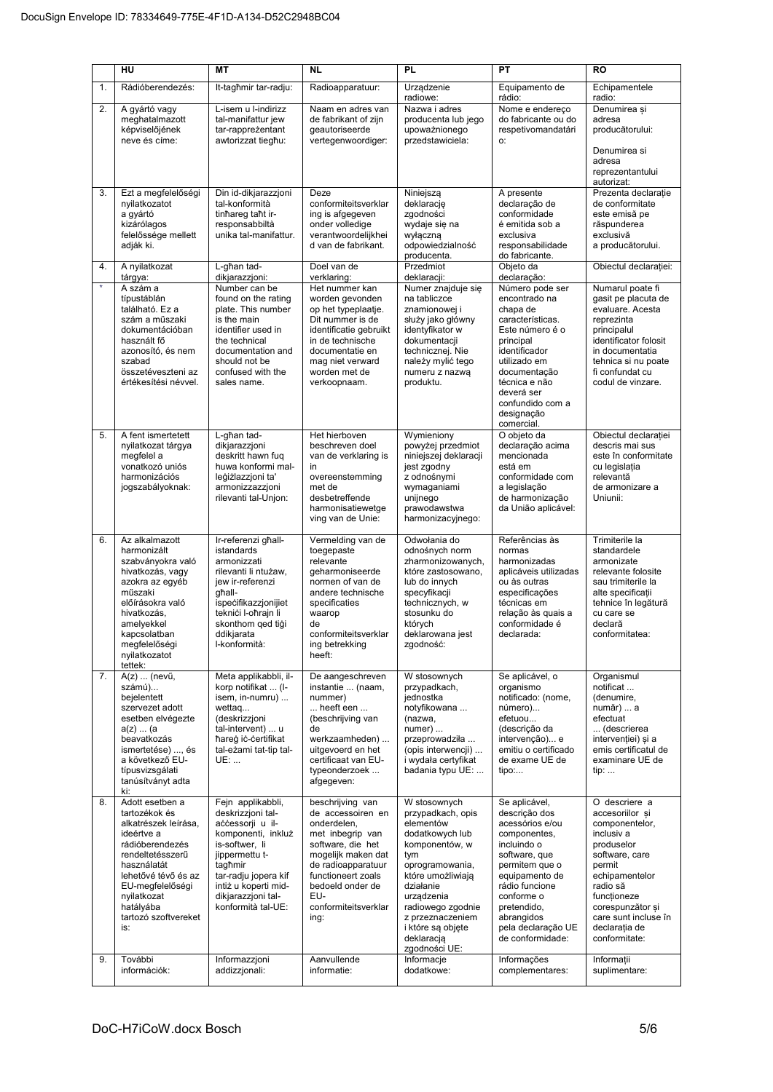|          | HU                                                                                                                                                                                                                                            | <b>MT</b>                                                                                                                                                                                                                                    | <b>NL</b>                                                                                                                                                                                                                                 | <b>PL</b>                                                                                                                                                                                                                                                                | PT                                                                                                                                                                                                                                                          | <b>RO</b>                                                                                                                                                                                                                                           |
|----------|-----------------------------------------------------------------------------------------------------------------------------------------------------------------------------------------------------------------------------------------------|----------------------------------------------------------------------------------------------------------------------------------------------------------------------------------------------------------------------------------------------|-------------------------------------------------------------------------------------------------------------------------------------------------------------------------------------------------------------------------------------------|--------------------------------------------------------------------------------------------------------------------------------------------------------------------------------------------------------------------------------------------------------------------------|-------------------------------------------------------------------------------------------------------------------------------------------------------------------------------------------------------------------------------------------------------------|-----------------------------------------------------------------------------------------------------------------------------------------------------------------------------------------------------------------------------------------------------|
| 1.       | Rádióberendezés:                                                                                                                                                                                                                              | It-tagħmir tar-radju:                                                                                                                                                                                                                        | Radioapparatuur:                                                                                                                                                                                                                          | Urządzenie<br>radiowe:                                                                                                                                                                                                                                                   | Equipamento de<br>rádio:                                                                                                                                                                                                                                    | Echipamentele                                                                                                                                                                                                                                       |
| 2.       | A gyártó vagy<br>meghatalmazott<br>képviselőjének<br>neve és címe:                                                                                                                                                                            | L-isem u l-indirizz<br>tal-manifattur jew<br>tar-rappreżentant<br>awtorizzat tiegħu:                                                                                                                                                         | Naam en adres van<br>de fabrikant of zijn<br>geautoriseerde<br>vertegenwoordiger:                                                                                                                                                         | Nazwa i adres<br>producenta lub jego<br>upoważnionego<br>przedstawiciela:                                                                                                                                                                                                | Nome e endereço<br>do fabricante ou do<br>respetivomandatári<br>О.                                                                                                                                                                                          | radio:<br>Denumirea și<br>adresa<br>producătorului:<br>Denumirea si<br>adresa<br>reprezentantului<br>autorizat:                                                                                                                                     |
| 3.       | Ezt a megfelelőségi<br>nyilatkozatot<br>a gyártó<br>kizárólagos<br>felelőssége mellett<br>adják ki.                                                                                                                                           | Din id-dikjarazzjoni<br>tal-konformità<br>tinhareg taht ir-<br>responsabbiltà<br>unika tal-manifattur.                                                                                                                                       | Deze<br>conformiteitsverklar<br>ing is afgegeven<br>onder volledige<br>verantwoordeliikhei<br>d van de fabrikant.                                                                                                                         | Niniejszą<br>deklarację<br>zgodności<br>wydaje się na<br>wyłączną<br>odpowiedzialność<br>producenta.                                                                                                                                                                     | A presente<br>declaração de<br>conformidade<br>é emitida sob a<br>exclusiva<br>responsabilidade<br>do fabricante.                                                                                                                                           | Prezenta declarație<br>de conformitate<br>este emisă pe<br>răspunderea<br>exclusivă<br>a producătorului.                                                                                                                                            |
| 4.       | A nyilatkozat<br>tárgya:                                                                                                                                                                                                                      | L-għan tad-<br>dikjarazzjoni:                                                                                                                                                                                                                | Doel van de<br>verklaring:                                                                                                                                                                                                                | Przedmiot<br>deklaracji:                                                                                                                                                                                                                                                 | Objeto da<br>declaração:                                                                                                                                                                                                                                    | Obiectul declarației:                                                                                                                                                                                                                               |
| $\star$  | A szám a<br>típustáblán<br>található. Ez a<br>szám a műszaki<br>dokumentációban<br>használt fő<br>azonosító, és nem<br>szabad<br>összetéveszteni az<br>értékesítési névvel.                                                                   | Number can be<br>found on the rating<br>plate. This number<br>is the main<br>identifier used in<br>the technical<br>documentation and<br>should not be<br>confused with the<br>sales name.                                                   | Het nummer kan<br>worden gevonden<br>op het typeplaatje.<br>Dit nummer is de<br>identificatie gebruikt<br>in de technische<br>documentatie en<br>mag niet verward<br>worden met de<br>verkoopnaam.                                        | Numer znajduje się<br>na tabliczce<br>znamionowej i<br>służy jako główny<br>identyfikator w<br>dokumentacji<br>technicznej. Nie<br>należy mylić tego<br>numeru z nazwą<br>produktu.                                                                                      | Número pode ser<br>encontrado na<br>chapa de<br>características.<br>Este número é o<br>principal<br>identificador<br>utilizado em<br>documentação<br>técnica e não<br>deverá ser<br>confundido com a<br>designação<br>comercial.                            | Numarul poate fi<br>gasit pe placuta de<br>evaluare. Acesta<br>reprezinta<br>principalul<br>identificator folosit<br>in documentatia<br>tehnica si nu poate<br>fi confundat cu<br>codul de vinzare.                                                 |
| 5.       | A fent ismertetett<br>nyilatkozat tárgya<br>megfelel a<br>vonatkozó uniós<br>harmonizációs<br>jogszabályoknak:                                                                                                                                | L-għan tad-<br>dikjarazzjoni<br>deskritt hawn fug<br>huwa konformi mal-<br>leģiżlazzjoni ta'<br>armonizzazzjoni<br>rilevanti tal-Unjon:                                                                                                      | Het hierboven<br>beschreven doel<br>van de verklaring is<br>in<br>overeenstemming<br>met de<br>desbetreffende<br>harmonisatiewetge<br>ving van de Unie:                                                                                   | Wymieniony<br>powyżej przedmiot<br>niniejszej deklaracji<br>jest zgodny<br>z odnośnymi<br>wymaganiami<br>unijnego<br>prawodawstwa<br>harmonizacyjnego:                                                                                                                   | O objeto da<br>declaração acima<br>mencionada<br>está em<br>conformidade com<br>a legislação<br>de harmonização<br>da União aplicável:                                                                                                                      | Obiectul declarației<br>descris mai sus<br>este în conformitate<br>cu legislația<br>relevantă<br>de armonizare a<br>Uniunii:                                                                                                                        |
| 6.       | Az alkalmazott<br>harmonizált<br>szabványokra való<br>hivatkozás, vagy<br>azokra az egyéb<br>műszaki<br>előírásokra való<br>hivatkozás,<br>amelyekkel<br>kapcsolatban<br>megfelelőségi<br>nyilatkozatot<br>tettek:                            | Ir-referenzi għall-<br>istandards<br>armonizzati<br>rilevanti li ntużaw,<br>jew ir-referenzi<br>qhall-<br>ispecifikazzjonijiet<br>teknići l-oħrajn li<br>skonthom ged tigi<br>ddikjarata<br>I-konformità:                                    | Vermelding van de<br>toegepaste<br>relevante<br>geharmoniseerde<br>normen of van de<br>andere technische<br>specificaties<br>waarop<br>de<br>conformiteitsverklar<br>ing betrekking<br>heeft:                                             | Odwołania do<br>odnośnych norm<br>zharmonizowanych,<br>które zastosowano.<br>lub do innych<br>specyfikacji<br>technicznych, w<br>stosunku do<br>których<br>deklarowana jest<br>zgodność:                                                                                 | Referências às<br>normas<br>harmonizadas<br>aplicáveis utilizadas<br>ou às outras<br>especificações<br>técnicas em<br>relação às quais a<br>conformidade é<br>declarada:                                                                                    | Trimiterile la<br>standardele<br>armonizate<br>relevante folosite<br>sau trimiterile la<br>alte specificatii<br>tehnice în legătură<br>cu care se<br>declară<br>conformitatea:                                                                      |
| 7.       | A(z)  (nevű,<br>számú)<br>beielentett<br>szervezet adott<br>esetben elvégezte<br>a(z)  (a)<br>beavatkozás<br>ismertetése) , és<br>a következő EU-<br>típusvizsgálati<br>tanúsítványt adta<br>ki:                                              | Meta applikabbli, il-<br>korp notifikat  (I-<br>isem, in-numru)<br>wettaq<br>(deskrizzjoni<br>tal-intervent)  u<br>hareg ic-certifikat<br>tal-eżami tat-tip tal-<br>UE:                                                                      | De aangeschreven<br>instantie  (naam,<br>nummer)<br>heeft een<br>(beschrijving van<br>de<br>werkzaamheden)<br>uitgevoerd en het<br>certificaat van EU-<br>typeonderzoek<br>afgegeven:                                                     | W stosownych<br>przypadkach,<br>jednostka<br>notyfikowana<br>(nazwa,<br>$numer)$<br>przeprowadziła<br>(opis interwencji)<br>i wydała certyfikat<br>badania typu UE:                                                                                                      | Se aplicável, o<br>organismo<br>notificado: (nome,<br>número)<br>efetuou<br>(descrição da<br>intervenção) e<br>emitiu o certificado<br>de exame UE de<br>tipo:                                                                                              | Organismul<br>notificat<br>(denumire,<br>număr)  a<br>efectuat<br>(descrierea<br>intervenției) și a<br>emis certificatul de<br>examinare UE de<br>tip:                                                                                              |
| 8.<br>9. | Adott esetben a<br>tartozékok és<br>alkatrészek leírása,<br>ideértve a<br>rádióberendezés<br>rendeltetésszerű<br>használatát<br>lehetővé tévő és az<br>EU-megfelelőségi<br>nyilatkozat<br>hatályába<br>tartozó szoftvereket<br>is:<br>További | Fejn applikabbli,<br>deskrizzjoni tal-<br>accessorji u il-<br>komponenti, inkluż<br>is-softwer, li<br>jippermettu t-<br>tagħmir<br>tar-radju jopera kif<br>intiż u koperti mid-<br>dikjarazzjoni tal-<br>konformità tal-UE:<br>Informazzjoni | beschrijving van<br>de accessoiren en<br>onderdelen,<br>met inbegrip van<br>software, die het<br>mogelijk maken dat<br>de radioapparatuur<br>functioneert zoals<br>bedoeld onder de<br>EU-<br>conformiteitsverklar<br>ing:<br>Aanvullende | W stosownych<br>przypadkach, opis<br>elementów<br>dodatkowych lub<br>komponentów, w<br>tym<br>oprogramowania,<br>które umożliwiają<br>działanie<br>urządzenia<br>radiowego zgodnie<br>z przeznaczeniem<br>i które są objęte<br>deklaracją<br>zgodności UE:<br>Informacje | Se aplicável,<br>descrição dos<br>acessórios e/ou<br>componentes,<br>incluindo o<br>software, que<br>permitem que o<br>equipamento de<br>rádio funcione<br>conforme o<br>pretendido,<br>abrangidos<br>pela declaração UE<br>de conformidade:<br>Informações | O descriere a<br>accesoriilor si<br>componentelor,<br>inclusiv a<br>produselor<br>software, care<br>permit<br>echipamentelor<br>radio să<br>funcționeze<br>corespunzător și<br>care sunt incluse în<br>declarația de<br>conformitate:<br>Informatii |
|          | információk:                                                                                                                                                                                                                                  | addizzjonali:                                                                                                                                                                                                                                | informatie:                                                                                                                                                                                                                               | dodatkowe:                                                                                                                                                                                                                                                               | complementares:                                                                                                                                                                                                                                             | suplimentare:                                                                                                                                                                                                                                       |